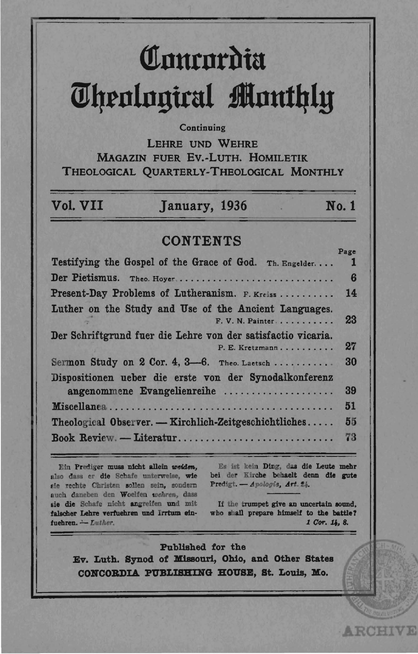# Concordia **Theological Monthly**

#### Continuing

**LEHRE UND WEHRE** MAGAZIN FUER EV.-LUTH. HOMILETIK THEOLOGICAL QUARTERLY-THEOLOGICAL MONTHLY

| Vol. VII | January, 1936 | No. 1 |
|----------|---------------|-------|
|          |               |       |

## **CONTENTS**

|                                                              | rage            |
|--------------------------------------------------------------|-----------------|
| Testifying the Gospel of the Grace of God. Th. Engelder      | 1               |
| Der Pietismus. Theo. Hoyer                                   | $6\phantom{1}6$ |
| Present-Day Problems of Lutheranism. F. Kreiss               | 14              |
| Luther on the Study and Use of the Ancient Languages.        |                 |
| F. V. N. Painter                                             | 23              |
| Der Schriftgrund fuer die Lehre von der satisfactio vicaria. |                 |
| P. E. Kretzmann                                              | 27              |
| Sermon Study on 2 Cor. 4, 3-6. Theo. Laetsch                 | 30              |
| Dispositionen ueber die erste von der Synodalkonferenz       |                 |
| angenommene Evangelienreihe                                  | 39              |
|                                                              | 51              |
| Theological Observer. - Kirchlich-Zeitgeschichtliches        | 55              |
| Book Review. - Literatur                                     | 73              |

Ein Prediger muss nicht allein weiden, also dass er die Schafe unterweise, wie sie rechte Christen sollen sein, sondern auch daneben den Woelfen wehren, dass sie die Schafe nicht angreifen und mit falscher Lehre verfuehren und Irrtum einfuehren. - Luther.

Es ist kein Ding, das die Leute mehr bei der Kirche behaelt denn die gute Predigt. - Apologie, Art. 24.

If the trumpet give an uncertain sound. who shall prepare himself to the battle? 1 Cor. 14, 8.

**ARCHIVE** 

Published for the Ev. Luth. Synod of Missouri, Ohio, and Other States CONCORDIA PUBLISHING HOUSE, St. Louis, Mo.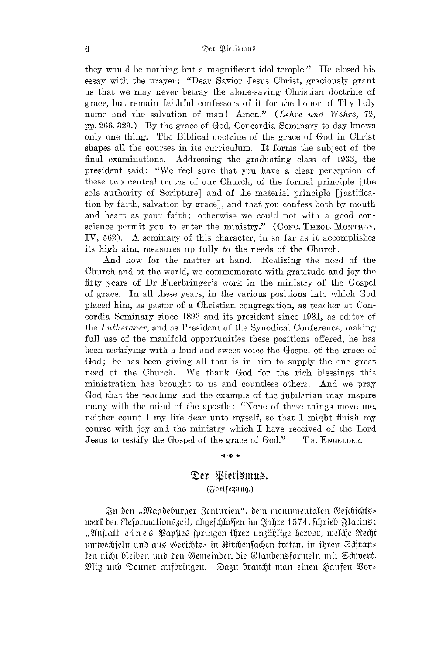they would be nothing but a magnificent idol-temple." He closed his essay with the prayer: "Dear Savior Jesus Ohrist, graciously grant us that we may never betray the alone-saving Ohristian doctrine of grace, but remain faithful confessors of it for the honor of Thy holy name and the salvation of man! Amen." (Lehre und Wehre, 72, pp. 266. 329.) By the grace of God, Ooncordia Seminary to-day knows only one thing. The Biblical doctrine of the grace of God in Ohrist shapes all the courses in its curriculum. It forms the subject of the final examinations. Addressing the graduating class of 1933, the Addressing the graduating class of 1933, the president said: "We feel sure that you have a clear perception of these two central truths of our Ohurch, of the formal principle [the sole authority of Scripture] and of the material principle [justification by faith, salvation by grace], and that you confess both by mouth and heart as your faith; otherwise we could not with a good conscience permit you to enter the ministry." (Conc. THEOL. MONTHLY, IV, 562). A seminary of this character, in so far as it accomplishes its high aim, measures up fully to the needs of the Ohurch.

And now for the matter at hand. Realizing the need of the Ohurch and of the world, we commemorate with gratitude and joy the fifty years of Dr. Fuerbringer's work in the ministry of the Gospel of grace. In all these years, in the various positions into which God placed him, as pastor of a Ohristian congregation, as teacher at Ooncordia Seminary since 1893 and its president since 1931, as editor of the *Luthemner,* and as President of the Synodical Oonference, making full use of the manifold opportunities these positions offered, he has been testifying with a loud and sweet voice the Gospel of the grace of God; he has been giving all that is in him to supply the one great need of the Ohurch. We thank God for the rich blessings this ministration has brought to us and countless others. And we pray God that the teaching and the example of the jubilarian may inspire many with the mind of the apostle: "None of these things move me, neither count I my life dear unto myself, so that I might finish my course with joy and the ministry which I have received of the Lord Jesus to testify the Gospel of the grace of God." TH. ENGELDER.

## Der *Bietismus.* (Fortfenung.)

~n ben "IDlagbefmrger 2en±Urien", bem monumenialen ®elcljicljg~ tvert der Reformation§zeit, abgefchloffen im Jahre 1574, fchrieb Flacius: "Anftatt e i n e \$ Papfte\$ fpringen ihrer unzählige herbor, tveIche Recht umtvechjeln und aus Gerichts= in Kirchenfachen treten, in ihren Schran= fen nicht bleiben und den Gemeinden die Glaubensformeln mit Schwert, mw~ unb SDonner aUfbringen. SDa3u brauclj± man einen &)aufen mor~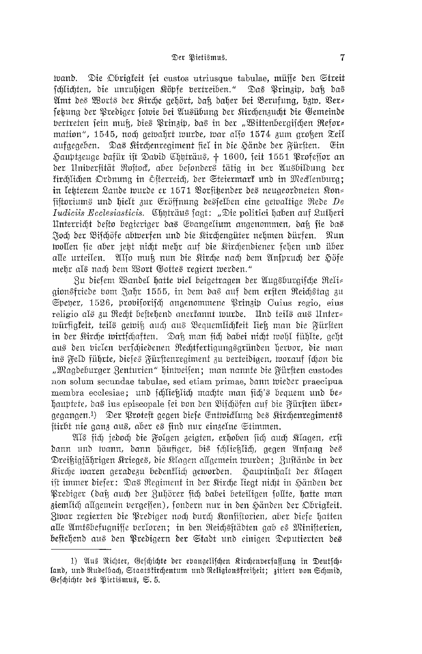tvand. Die Obrigfeit fei custos utriusque tabulae, müsse den Streit schlichten, die unruhigen Köpfe bertreiben." Das Prinzip, dak das Amt des Worts der Kirche gehört, daß daher bei Berufung, bzw. Ver= fetung der Prediger folvie bei Ausübung der Kirchenzucht die Gemeinde bertreten fein muß, dies Prinzip, das in der "Wittenbergifchen Refor= mation", 1545, noch gelvahrt lvurde, lvar also 1574 zum großen Teil aufgegeben. Das Kirchenregiment fiel in die Hände der Fürften. Ein Hauptzeuge dafür ist Dabid Chyträus, + 1600, seit 1551 Professor an der Unibersität Rostock, aber besonders tätig in der Ausbildung der firchlichen Ordnung in Öfterreich, der Steiermark und in Mecklenburg; in letzterem Lande wurde er 1571 Vorsitzender des neugeordneten Kon= fiftoriums und hielt zur Eröffnung desfelben eine gewaltige Rede De Iudiciis Ecclesiasticis. Chuträus fagt: "Die politici haben auf Lutheri Unterricht defto begieriger das Evangelium angenommen, daß sie das Joch der Bischöfe abwerfen und die Kirchengüter nehmen dürfen. Nun wollen sie aber jett nicht mehr auf die Kirchendiener sehen und über alle urteilen. Also muß nun die Kirche nach dem Anspruch der Höfe mehr als nach dem Wort Gottes regiert werden."

Zu diesem Wandel hatte viel beigetragen der Augsburgische Reli= gionsfriede bom Jahr 1555, in dem das auf dem ersten Reichstag zu Speher, 1526, probiforifch angenommene Prinzip Cuius regio, eius religio als zu Recht beftehend anerfannt wurde. Und teils aus Unter= würfigkeit, teils gewiß auch aus Bequemlichkeit ließ man die Fürften in der Kirche wirtschaften. Daß man sich dabei nicht wohl fühlte, geht aus den bielen berfchiedenen Nechtfertigungsgründen hervor, die man ins Feld führte, dieses Fürstenregiment zu berteidigen, worauf schon die "Magdeburger Zenturien" hintveisen; man nannte die Fürsten custodes non solum secundae tabulae, sed etiam primae, bann wieder praecipua membra ecclesiae; und fcilientich machte man sich's bequem und behauptete, das ius episcopale sei von den Bischöfen auf die Fürsten über= gegangen.<sup>1</sup>) Der Proteft gegen diefe Entwicklung des Rirchenregiments stirbt nie ganz aus, aber es sind nur einzelne Stimmen.

Als sich jedoch die Folgen zeigten, erhoben sich auch Klagen, erst dann und wann, dann häufiger, bis schlieklich, gegen Anfang des Dreißigjährigen Krieges, die Klagen allgemein wurden; Zustände in der Kirche waren geradezu bedenflich geworden. Hauptinhalt der Klagen ift immer diefer: Das Regiment in der Kirche liegt nicht in Händen der Prediger (daß auch der Zuhörer sich dabei beteiligen sollte, hatte man ziemlich allgemein bergeffen), fondern nur in den Händen der Obrigfeit. Zwar regierten die Prediger noch durch Konfistorien, aber diefe hatten alle Amtsbefugnisse berloren; in den Reichsstädten gab es Ministerien, beftehend aus den Predigern der Stadt und einigen Deputierten des

<sup>1)</sup> Aus Richter, Geschichte der evangelischen Kirchenverfassung in Deutsch= land, und Rudelbach, Staatstirchentum und Religionsfreiheit; zitiert von Schmid, Geschichte des Pietismus, S. 5.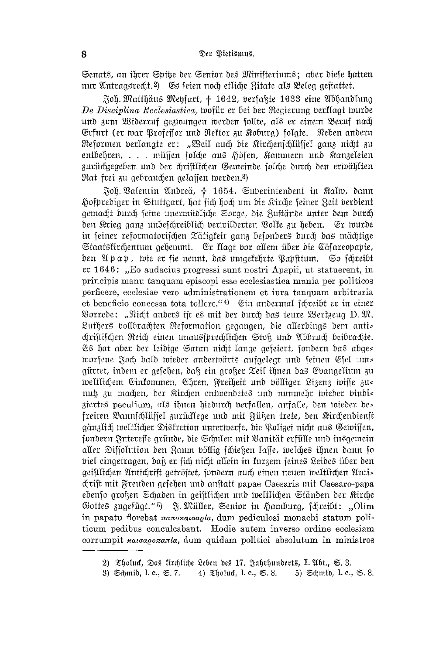Senats, an ihrer Spike der Senior des Ministeriums: aber diele hatten nur Antragsrecht.<sup>2</sup>) Es feien noch etliche Zitate als Beleg geftattet.

Joh. Matthäus Meyfart, † 1642, verfaßte 1633 eine Abhandlung De Disciplina Ecclesiastica, wofür er bei der Regierung berklagt wurde und zum Widerruf gezwungen werden follte, als er einem Beruf nach Erfurt (er war Profeffor und Rektor zu Koburg) folgte. Neben andern Reformen verlangte er: "Weil auch die Kirchenschlüssel ganz nicht zu entbehren, ... müssen solche aus Höfen, Kammern und Kanzeleien zurückgegeben und der chriftlichen Gemeinde folche durch den erwählten Rat frei zu gebrauchen gelassen werden.3)

Joh Valentin Andreä, † 1654, Superintendent in Kalm, dann Hofprediger in Stuttgart, hat fich hoch um die Rirche feiner Zeit berdient gemacht durch seine unermüdliche Sorge, die Zustände unter dem durch den Krieg ganz unbefchreiblich verwilderten Volke zu heben. Er wurde in seiner reformatorischen Tätigkeit ganz besonders durch das mächtige Staatsfirchentum gehemmt. Er flagt vor allem über die Cäsareopapie, den Apap, wie er fie nennt, das umgekehrte Papfitum. So fchreibt er 1646: "Eo audacius progressi sunt nostri Apapii, ut statuerent, in principis manu tanguam episcopi esse ecclesiastica munia per politicos perficere, ecclesiae vero administrationem et iura tanquam arbitraria et beneficio concessa tota tollere."4) (Sin andermal idireibt er in einer Vorrede: "Nicht anders ist es mit der durch das teure Werkzeug D.M. Luthers vollbrachten Reformation gegangen, die allerdings dem anti= chriftifchen Reich einen unaussprechlichen Stoß und Abbruch beibrachte. Es hat aber der leidige Satan nicht lange gefeiert, sondern das abges worfene Joch bald wieder anderwärts aufgelegt und seinen Esel um= gürtet, indem er gefehen, daß ein großer Teil ihnen das Evangelium zu weltlichem Einkommen, Ehren, Freiheit und völliger Lizenz wisse zu= nut zu machen, der Kirchen entwendetes und nunmehr wieder vindi= ziertes peculium, als ihnen hiedurch verfallen, anfalle, den wieder be= freiten Bannschlüssel zurücklege und mit Füßen trete, den Rirchendienst gänzlich weltlicher Disfretion unterwerfe, die Polizei nicht aus Gewissen, fondern Intereffe gründe, die Schulen mit Vanität erfülle und insgemein aller Diffolution den Zaum böllig schießen laffe, welches ihnen dann so biel eingetragen, daß er sich nicht allein in kurzem seines Leides über den geiftlichen Antichrift getröftet, sondern auch einen neuen weltlichen Anti= chrift mit Freuden gesehen und anstatt papae Caesaris mit Caesaro-papa ebenso großen Schaden in geiftlichen und weltlichen Ständen der Kirche Gottes zugefügt."5) J. Müller, Senior in Hamburg, fchreibt: "Olim in papatu florebat nanoxaloapla, dum pediculosi monachi statum politicum pedibus conculcabant. Hodie autem inverso ordine ecclesiam corrumpit xaioaponania, dum quidam politici absolutum in ministros

<sup>2)</sup> Tholuc, Das firchliche Leben des 17. Jahrhunderts, I. Abt., S. 3.

<sup>3)</sup> Schmib, I.c., S. 7. 4) Tholuct, I.c., S. 8. 5) Schmib, I.c., S. 8.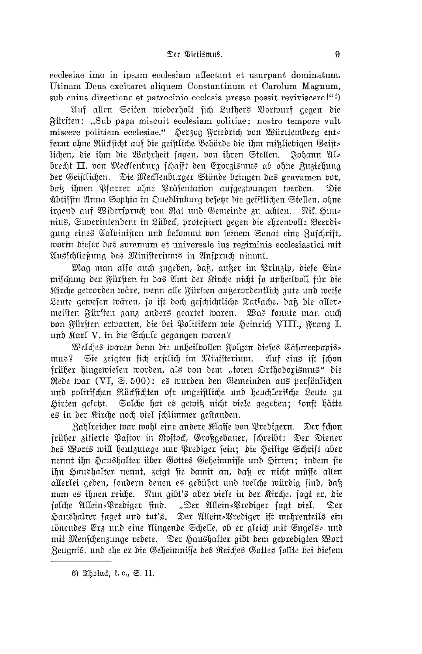ecclesiae imo in ipsam ecclesiam affectant et usurpant dominatum. Utinam Deus excitaret aliquem Constantinum et Carolum Magnum, sub cuius directione et patrocinio ecclesia pressa possit reviviscere!"<sup>6</sup>)

Auf allen Seiten wiederholt sich Luthers Vorwurf gegen die Würften: "Sub papa miscuit ecclesiam politiae; nostro tempore vult miscere politiam ecclesiae." Herzog Friedrich von Württemberg ent fernt ohne Rücksicht auf die geistliche Behörde die ihm mißliebigen Geist= lichen, die ihm die Wahrheit sagen, von ihren Stellen. Johann Al= brecht II. von Mecklenburg schafft den Exorzismus ab ohne Zuziehung der Geiftlichen. Die Mecklenburger Stände bringen das gravamen bor, daß ihnen Pfarrer ohne Präsentation aufgezwungen werden. Die übtiffin Anna Sophia in Quedlinburg befekt die geiftlichen Stellen, ohne irgend auf Widerspruch von Rat und Gemeinde zu achten. Nit. Hun≈ nius, Superintendent in Lübeck, protestiert gegen die ehrenbolle Beerdi= gung eines Calbinisten und bekommt von seinem Senat eine Zuschrift, tvorin diefer das summum et universale ius regiminis ecclesiastici mit Ausfchließung des Ministeriums in Anspruch nimmt.

Mag man alfo auch zugeben, daß, außer im Prinzip, diefe Ein= mischung der Fürften in das Amt der Kirche nicht fo unheilvoll für die Kirche geworden wäre, wenn alle Fürsten außerordentlich gute und weise Leute gewesen wären, so ist doch geschichtliche Tatsache, daß die aller= meisten Fürsten ganz anders geartet waren. Was fonnte man auch bon Fürften erwarten, die bei Politikern wie Heinrich VIII., Franz I. und Karl V. in die Schule gegangen waren?

Welches waren denn die unheilbollen Folgen dieses Cäsareopapis= Sie zeigten sich erstlich im Ministerium. Auf eins ist schon  $\mathfrak{m}$ us? früher hingewiesen worden, als von dem "toten Orthodoxismus" die Rede war (VI, S. 500): es wurden den Gemeinden aus perfönlichen und politifchen Rückfichten oft ungeiftliche und heuchlerifche Leute zu Solche hat es gewiß nicht viele gegeben; sonst hätte Hirten gefeßt. es in der Kirche noch biel fchlimmer gestanden.

Zahlreicher war wohl eine andere Klaffe von Predigern. Der fchon früher zitierte Pastor in Rostock, Großgebauer, schreibt: Der Diener des Worts will heutzutage nur Prediger sein; die Heilige Schrift aber nennt ihn Haushalter über Gottes Geheimnisse und Hirten; indem sie ihn Haushalter nennt, zeigt fie damit an, daß er nicht müsse allen allerlei geben, sondern denen es gebührt und welche würdig find, daß man es ihnen reiche. Nun gibt's aber viele in der Kirche, sagt er, die folche Allein=Prediger find. "Der Allein=Prediger fagt biel. Der Haushalter faget und tut's. Der Allein=Prediger ift mehrenteils ein tönendes Erz und eine flingende Schelle, ob er gleich mit Engels= und mit Menfchenzunge redete. Der Haushalter gibt dem gepredigten Wort Zeugnis, und ehe er die Geheimnisse des Reiches Gottes sollte bei diesem

<sup>6)</sup>  $\mathfrak{L}$ holuch, 1. c.,  $\mathfrak{S}$ . 11.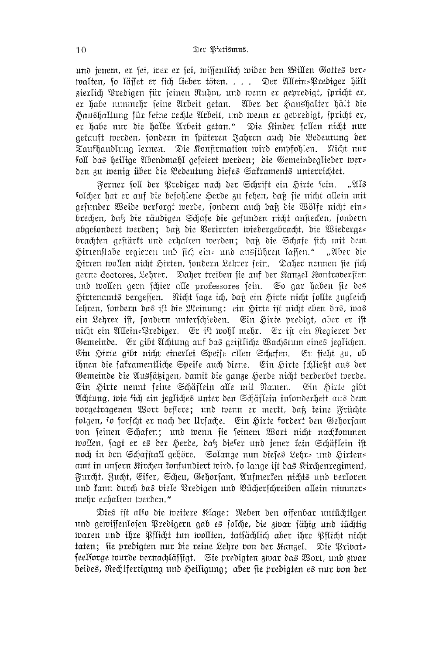und jenem, er sei, wer er sei, wissentlich wider den Willen Gottes ber= walten, so läffet er sich lieber töten. . . . Der Allein=Prediger hält zierlich Predigen für seinen Ruhm, und wenn er gepredigt, spricht er, er habe nunmehr seine Arbeit getan. Aber der Haushalter hält die Haushaltung für seine rechte Arbeit, und wenn er gepredigt, spricht er, er habe nur die halbe Arbeit getan." Die Kinder sollen nicht nur getauft werden, sondern in späteren Jahren auch die Bedeutung der Taufhandlung lernen. Die Konfirmation wird empfohlen. Nicht nur foll das heilige Abendmahl gefeiert werden; die Gemeindeglieder wer= den zu wenig über die Bedeutung diefes Saframents unterrichtet.

Ferner soll der Prediger nach der Schrift ein Hirte sein. ... 21 โ.ธ folcher hat er auf die befohlene Herde zu fehen, daß fie nicht allein mit gefunder Weide berforat werde, fondern auch daß die Wölfe nicht ein= brechen, dak die räudigen Schafe die gefunden nicht anstecken, fondern abgesondert werden; daß die Verirrten wiedergebracht, die Wiederge= brachten geftärft und erhalten werden; daß die Schafe sich mit dem Hirtenstabe regieren und sich ein= und ausführen lafsen." "Aber die Hirten wollen nicht Hirten, sondern Lehrer sein. Daher nennen sie sich gerne doctores, Lehrer. Daher treiben fie auf der Kanzel Kontroberfien und wollen gern schier alle professores sein. So gar haben sie des Hirtenamts vergeffen. Nicht fage ich, daß ein Hirte nicht follte zugleich lehren, sondern das ift die Meinung: ein Hirte ist nicht eben das, was ein Lehrer ist, fondern unterfchieden. Ein Hirte predigt, aber er ist nicht ein Allein=Prediger. Er ist wohl mehr. Er ist ein Regierer der Gemeinde. Er gibt Achtung auf das geiftliche Wachstum eines jeglichen. Ein Hirte gibt nicht einerlei Speise allen Schafen. Er sieht zu, ob ihnen die sakramentliche Speise auch diene. Ein Hirte schließt aus der Gemeinde die Aussätigen, damit die ganze Herde nicht berderbet werde. Ein Hirte nennt seine Schäflein alle mit Namen. Ein Hirte gibt Achtung, wie sich ein jegliches unter den Schäflein insonderheit aus dem borgetragenen Wort bessere; und wenn er merkt, daß keine Früchte folgen, fo forfcht er nach der Urfache. Ein Hirte fordert den Gehorfam von seinen Schafen; und wenn sie seinem Wort nicht nachkommen wollen, sagt er es der Herde, daß dieser und jener kein Schäflein ist noch in den Schafftall gehöre. Solange nun dieses Lehr= und Hirten= amt in unfern Kirchen fonfundiert wird, fo lange ift das Kirchenregiment, Furcht, Zucht, Eifer, Scheu, Gehorfam, Aufmerken nichts und berloren und kann durch das viele Predigen und Bücherschreiben allein nimmer= mehr erhalten werden."

Dies ist also die weitere Klage: Neben den offenbar untüchtigen und gewissenlosen Predigern gab es solche, die zwar fähig und tüchtig waren und ihre Pflicht tun wollten, tatfächlich aber ihre Pflicht nicht taten; sie predigten nur die reine Lehre von der Kanzel. Die Privat= feelforge wurde bernachläffigt. Sie predigten zwar das Wort, und zwar beides, Rechtfertigung und Heiligung; aber fie predigten es nur bon der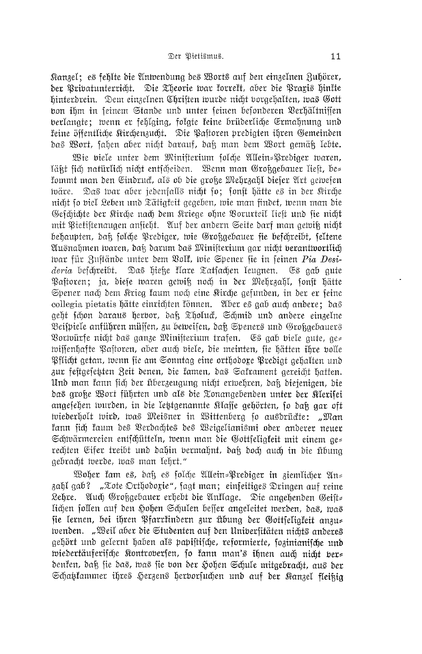Kanzel; es fehlte die Antvendung des Worts auf den einzelnen Ruhörer, der Privatunterricht. Die Theorie war forreft, aber die Praris hinfte hinterdrein. Dem einzelnen Chriften wurde nicht vorgehalten, was Gott bon ihm in seinem Stande und unter seinen besonderen Verhältnissen berlangte; wenn er fehlging, folgte keine brüderliche Ermahnung und feine öffentliche Kirchenzucht. Die Pastoren predigten ihren Gemeinden das Wort, fahen aber nicht darauf, daß man dem Wort gemäß lebte.

Wie viele unter dem Ministerium solche Allein=Prediger waren, läßt fich natürlich nicht entscheiden. Wenn man Großgebauer liest, be= fommt man den Eindruck, als ob die große Mehrzahl diefer Art gewesen Das war aber jedenfalls nicht so; sonst hätte es in der Kirche präre. nicht fo biel Leben und Tätigfeit gegeben, wie man findet, wenn man die Gefchichte der Kirche nach dem Kriege ohne Vorurteil lieft und sie nicht mit Pietistenaugen anfieht. Auf der andern Seite darf man gewiß nicht behaupten, daß folche Prediger, wie Großgebauer fie beschreibt, feltene Ausnahmen waren, dak darum das Minifterium gar nicht berantwortlich war für Zustände unter dem Volk, wie Spener sie in seinen Pia Desideria befchreibt. Das hieße klare Tatsachen leugnen. Es gab gute Pastoren; ja, diese waren gewiß noch in der Mehrzahl, sonst hätte Spener nach dem Krieg kaum noch eine Rirche gefunden, in der er feine collegia pietatis hätte einrichten fönnen. Aber es gab auch andere; das geht schon daraus herbor, daß Tholuck, Schmid und andere einzelne Beispiele anführen müssen, zu beweisen, daß Speners und Großgebauers Vorwürfe nicht das ganze Ministerium trafen. Es gab viele gute, ge= wissenhafte Pastoren, aber auch viele, die meinten, sie hätten ihre volle Pflicht getan, wenn sie am Sonntag eine orthodoxe Predigt gehalten und zur festgesetzten Zeit denen, die kamen, das Sakrament gereicht hatten. Und man fann sich der überzeugung nicht erwehren, daß diejenigen, die das große Wort führten und als die Tonangebenden unter der Klerifei angesehen wurden, in die letztgenannte Klasse gehörten, so dak gar oft wiederholt wird, was Meisner in Wittenberg so ausdrückte: "Man fann sich faum des Verdachtes des Weigelianismi oder anderer neuer Schwärmereien entschütteln, wenn man die Gottfeligkeit mit einem ges rechten Eifer treibt und dahin bermahnt, daß doch auch in die übung gebracht werde, was man lehrt."

Woher kam es, daß es solche Allein=Prediger in ziemlicher An= zahl gab? "Tote Orthodoxie", fagt man; einfeitiges Dringen auf reine Lehre. Auch Großgebauer erhebt die Anflage. Die angebenden Geist= lichen follen auf den Hohen Schulen beffer angeleitet werden, das, was sie lernen, bei ihren Pfarrkindern zur übung der Gottfeligfeit anzus wenden. "Weił aber die Studenten auf den Uniberfitäten nichts anderes gehört und gelernt haben als papiftifche, reformierte, fozinianifche und wiedertäuferifche Kontroberfen, fo fann man's ihnen auch nicht ber= denfen, daß fie das, was fie bon der Hohen Schule mitgebracht, aus der Schatztammer ihres Herzens herborsuchen und auf der Kanzel fleikig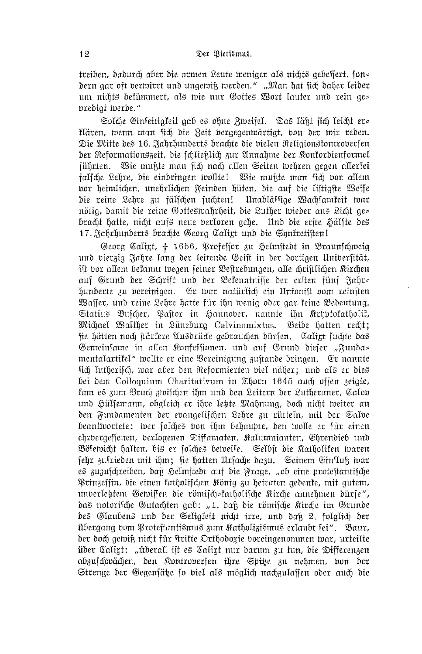treiben, dadurch aber die armen Leute weniger als nichts gebeffert, fon= dern gar oft berwirrt und ungewiß werden." "Man hat sich daher leider um nichts bekümmert, als wie nur Gottes Wort lauter und rein ge= predigt iverde."

Solche Einfeitigkeit gab es ohne Zweifel. Das läßt sich leicht er= flären, wenn man fich die Zeit bergegenwärtigt, von der wir reden. Die Mitte des 16. Jahrhunderts brachte die vielen Religionsfontroverfen der Reformationszeit, die fchließlich zur Annahme der Konfordienformel führten. Wie mußte man sich nach allen Seiten wehren gegen allerlei falsche Lehre, die eindringen wollte! Wie mußte man sich vor allem bor heimlichen, unehrlichen Feinden hüten, die auf die listigste Weise die reine Lehre zu fälfchen suchten! Unablässige Wachsamkeit war nötig, damit die reine Gotteswahrheit, die Luther wieder ans Licht ge= bracht hatte, nicht aufs neue berloren gehe. Und die erfte Hälfte des 17. Jahrhunderts brachte Georg Calixt und die Synkretisten!

Georg Caligt, † 1656, Professor zu Helmstedt in Braunschweig und vierzig Jahre lang der leitende Geist in der dortigen Universität, ift vor allem befannt wegen feiner Beftrebungen, alle chriftlichen Kirchen auf Grund der Schrift und der Bekenntnisse der ersten fünf Jahr= hunderte zu bereinigen. Er war natürlich ein Unionist vom reinsten Waffer, und reine Lehre hatte für ihn wenig oder gar feine Bedeutung. Statius Bufcher, Paftor in Hannober, nannte ihn Krhptofatholif, Michael Walther in Lüneburg Calvinomixtus. Beide hatten recht; fie hätten noch ftärfere Ausdrücke gebrauchen dürfen. Calixt fuchte das Gemeinsame in allen Konfessionen, und auf Grund dieser "Funda= mentalartifel" wollte er eine Bereinigung zuftande bringen. Er nannte fich lutherifch, war aber den Reformierten biel näher; und als er dies bei dem Colloquium Charitativum in Thorn 1645 auch offen zeigte, fam es zum Bruch zwifchen ihm und den Leitern der Lutheraner, Calov und Hülsemann, obgleich er ihre letzte Mahnung, doch nicht weiter an den Fundamenten der ebangelifchen Lehre zu rütteln, mit der Salbe beantwortete: wer folches von ihm behaupte, den wolle er für einen ehrbergessenen, berlogenen Diffamaten, Kalumnianten, Ehrendieb und Bösewicht halten, bis er folches beweise. Selbst die Katholiken waren sehr zufrieden mit ihm; sie hatten Ursache dazu. Seinem Einfluß war es zuzufchreiben, daß Helmstedt auf die Frage, "ob eine protestantische Prinzeffin, die einen fatholifchen König zu heiraten gedente, mit gutem, unberletztem Gewissen die römisch-katholische Kirche annehmen dürfe", das notorische Gutachten gab: "1. daß die römische Kirche im Grunde des Glaubens und der Seligkeit nicht irre, und daß 2. folglich der übergang vom Protestantismus zum Katholizismus erlaubt sei". Baur, der doch gewiß nicht für firifte Orthodoxie voreingenommen war, urteilte über Caligt: "überall ist es Caligt nur darum zu tun, die Differenzen abzuschwächen, den Kontrobersen ihre Spitze zu nehmen, von der Strenge der Gegenfäte so viel als möglich nachzulassen oder auch die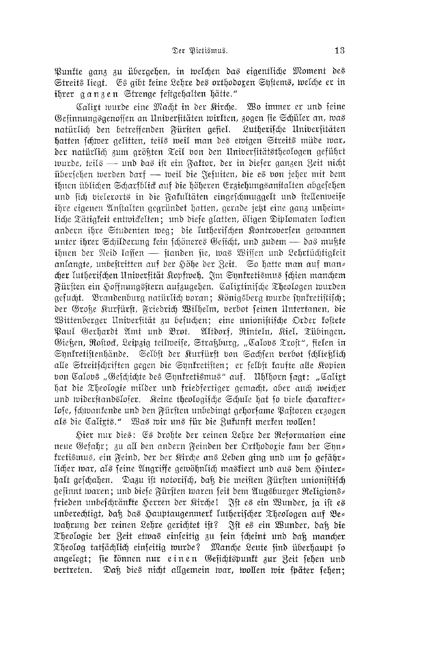Punkte ganz zu übergehen, in welchen das eigentliche Moment des Streits liegt. Es gibt feine Lehre des orthodoxen Syftems, welche er in ihrer ganzen Strenge festgehalten hätte."

Calirt wurde eine Macht in der Kirche. Wo immer er und seine Gefinnungsgenoffen an Unibersitäten wirkten, zogen fie Schüler an, was natürlich den betreffenden Fürften gefiel. Lutherische Universitäten hatten schwer gelitten, teils weil man des ewigen Streits müde war, der natürlich zum arökten Teil von den Universitätstheologen geführt wurde, teils — und das ist ein Faktor, der in diefer ganzen Zeit nicht iibersehen werden darf — weil die Jefuiten, die es von jeher mit dem ihnen üblichen Scharfblick auf die höheren Erziehungsanstalten abgesehen und sich bielerorts in die Fakultäten eingeschmuggelt und stellenweise ihre eigenen Anstalten gegründet hatten, gerade jetzt eine ganz unheim= liche Tätigfeit entwickelten; und diefe glatten, öligen Diplomaten lockten andern ihre Studenten weg; die lutherischen Kontrobersen gewannen unter ihrer Schilderung fein schöneres Gesicht, und zudem — das mußte ihnen der Neid laffen — standen sie, was Wissen und Lehrtüchtigfeit anlangte, unbeftritten auf der Höhe der Zeit. So hatte man auf man= cher lutherischen Universität Kopfweh. Im Synkretismus schien manchem Fürsten ein Hoffnungsstern aufzugehen. Calixtinifche Theologen wurden gefucht. Brandenburg natürlich boran; Königsberg wurde fynkretiftifch; der Große Kurfürft, Friedrich Wilhelm, verbot seinen Untertanen, die Wittenberger Universität zu besuchen; eine unionistische Order kostete Paul Gerhardt Amt und Brot. Altdorf, Rinteln, Riel, Tübingen, Gießen, Rostock, Leipzig teilweise, Straßburg, "Calovs Trost", fielen in Synkretistenhände. Selbst der Kurfürst von Sachsen verbot schließlich alle Streitschriften gegen die Synkretisten; er felbst kaufte alle Kopien bon Calobs "Gefchichte des Shnkretismus" auf. Uhlhorn faat: "Calirt hat die Theologie milder und friedfertiger gemacht, aber auch weicher und widerstandsloser. Keine theologische Schule hat so biele charakter lose, schwankende und den Fürsten unbedingt gehorsame Pastoren erzogen als die Caligis." Was wir uns für die Zufunft merken wollen!

Hier nur dies: Es drohte der reinen Lehre der Reformation eine neue Gefahr; zu all den andern Feinden der Orthodorie kam der Syn= fretismus, ein Feind, der der Kirche ans Leben ging und um so gefähr= licher war, als feine Anariffe gewöhnlich mastiert und aus dem Sinter= halt geschahen. Dazu ist notorisch, daß die meisten Fürsten unionistisch gefinnt waren; und diefe Fürften waren feit dem Augsburger Religions= frieden unbefchränkte Herren der Kirchel Ift es ein Wunder, ja ift es unberechtigt, daß das Hauptaugenmerk lutherischer Theologen auf Be= wahrung der reinen Lehre gerichtet ist? Ift es ein Wunder, dak die Theologie der Zeit etwas einfeitig zu fein fcheint und daß mancher Theolog tatfächlich einfeitig wurde? Manche Leute find überhaupt fo angelegt; sie können nur einen Gesichtspunkt zur Zeit sehen und vertreten. Daß dies nicht allgemein war, wollen wir später sehen;